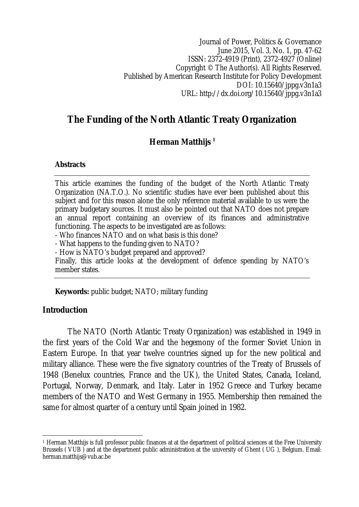Journal of Power, Politics & Governance June 2015, Vol. 3, No. 1, pp. 47-62 ISSN: 2372-4919 (Print), 2372-4927 (Online) Copyright © The Author(s). All Rights Reserved. Published by American Research Institute for Policy Development DOI: 10.15640/jppg.v3n1a3 URL: http://dx.doi.org/10.15640/jppg.v3n1a3

# **The Funding of the North Atlantic Treaty Organization**

### **Herman Matthijs <sup>1</sup>**

#### **Abstracts**

This article examines the funding of the budget of the North Atlantic Treaty Organization (NA.T.O.). No scientific studies have ever been published about this subject and for this reason alone the only reference material available to us were the primary budgetary sources. It must also be pointed out that NATO does not prepare an annual report containing an overview of its finances and administrative functioning. The aspects to be investigated are as follows:

- Who finances NATO and on what basis is this done?

- What happens to the funding given to NATO?

- How is NATO's budget prepared and approved?

Finally, this article looks at the development of defence spending by NATO's member states.

**Keywords:** public budget; NATO; military funding

#### **Introduction**

 $\overline{\phantom{a}}$ 

The NATO (North Atlantic Treaty Organization) was established in 1949 in the first years of the Cold War and the hegemony of the former Soviet Union in Eastern Europe. In that year twelve countries signed up for the new political and military alliance. These were the five signatory countries of the Treaty of Brussels of 1948 (Benelux countries, France and the UK), the United States, Canada, Iceland, Portugal, Norway, Denmark, and Italy. Later in 1952 Greece and Turkey became members of the NATO and West Germany in 1955. Membership then remained the same for almost quarter of a century until Spain joined in 1982.

<sup>1</sup> Herman Matthijs is full professor public finances at at the department of political sciences at the Free University Brussels ( VUB ) and at the department public administration at the university of Ghent ( UG ), Belgium. Email: herman.matthijs@vub.ac.be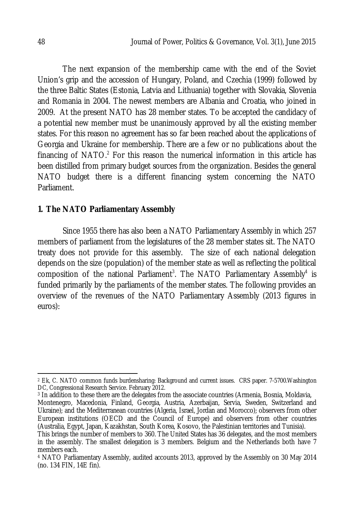The next expansion of the membership came with the end of the Soviet Union's grip and the accession of Hungary, Poland, and Czechia (1999) followed by the three Baltic States (Estonia, Latvia and Lithuania) together with Slovakia, Slovenia and Romania in 2004. The newest members are Albania and Croatia, who joined in 2009. At the present NATO has 28 member states. To be accepted the candidacy of a potential new member must be unanimously approved by all the existing member states. For this reason no agreement has so far been reached about the applications of Georgia and Ukraine for membership. There are a few or no publications about the financing of NATO. $2$  For this reason the numerical information in this article has been distilled from primary budget sources from the organization. Besides the general NATO budget there is a different financing system concerning the NATO Parliament.

#### **1. The NATO Parliamentary Assembly**

Since 1955 there has also been a NATO Parliamentary Assembly in which 257 members of parliament from the legislatures of the 28 member states sit. The NATO treaty does not provide for this assembly. The size of each national delegation depends on the size (population) of the member state as well as reflecting the political composition of the national Parliament<sup>3</sup>. The NATO Parliamentary Assembly<sup>4</sup> is funded primarily by the parliaments of the member states. The following provides an overview of the revenues of the NATO Parliamentary Assembly (2013 figures in euros):

 $\overline{a}$ <sup>2</sup> Ek, C. NATO common funds burdensharing: Background and current issues. CRS paper. 7-5700.Washington DC, Congressional Research Service. February 2012.

<sup>3</sup> In addition to these there are the delegates from the associate countries (Armenia, Bosnia, Moldavia, Montenegro, Macedonia, Finland, Georgia, Austria, Azerbaijan, Servia, Sweden, Switzerland and Ukraine); and the Mediterranean countries (Algeria, Israel, Jordan and Morocco); observers from other European institutions (OECD and the Council of Europe) and observers from other countries (Australia, Egypt, Japan, Kazakhstan, South Korea, Kosovo, the Palestinian territories and Tunisia).

This brings the number of members to 360. The United States has 36 delegates, and the most members in the assembly. The smallest delegation is 3 members. Belgium and the Netherlands both have 7 members each.

<sup>4</sup> NATO Parliamentary Assembly, audited accounts 2013, approved by the Assembly on 30 May 2014 (no. 134 FIN, 14E fin).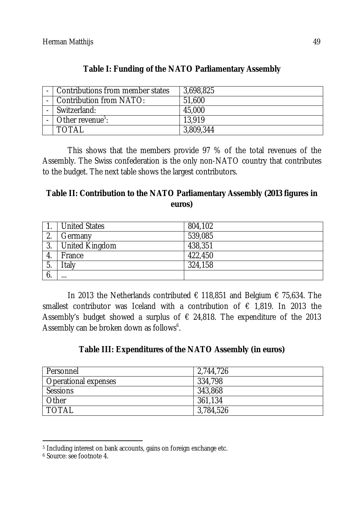| - Contributions from member states | 3,698,825 |
|------------------------------------|-----------|
| - Contribution from NATO:          | 51,600    |
| Switzerland:                       | 45,000    |
| Other revenue <sup>5</sup> :       | 13.919    |
| <b>TOTAL</b>                       | 3,809,344 |

## **Table I: Funding of the NATO Parliamentary Assembly**

This shows that the members provide 97 % of the total revenues of the Assembly. The Swiss confederation is the only non-NATO country that contributes to the budget. The next table shows the largest contributors.

## **Table II: Contribution to the NATO Parliamentary Assembly (2013 figures in euros)**

|           | <b>United States</b>  | 804,102 |
|-----------|-----------------------|---------|
| ⌒<br>z.   | Germany               | 539,085 |
| າ<br>. ა. | <b>United Kingdom</b> | 438,351 |
| -4.       | France                | 422,450 |
| 5.        | Italy                 | 324,158 |
|           | $\cdots$              |         |

In 2013 the Netherlands contributed € 118,851 and Belgium € 75,634. The smallest contributor was Iceland with a contribution of  $\epsilon$  1,819. In 2013 the Assembly's budget showed a surplus of  $\epsilon$  24,818. The expenditure of the 2013 Assembly can be broken down as follows<sup>6</sup>.

### **Table III: Expenditures of the NATO Assembly (in euros)**

| Personnel                   | 2,744,726 |
|-----------------------------|-----------|
| <b>Operational expenses</b> | 334,798   |
| Sessions                    | 343,868   |
| Other                       | 361,134   |
| <b>TOTAL</b>                | 3,784,526 |

 $\overline{a}$ <sup>5</sup> Including interest on bank accounts, gains on foreign exchange etc.

<sup>6</sup> Source: see footnote 4.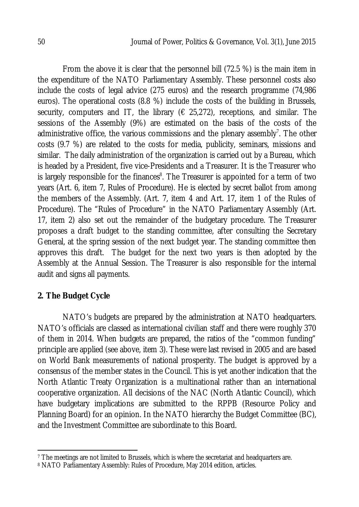From the above it is clear that the personnel bill (72.5 %) is the main item in the expenditure of the NATO Parliamentary Assembly. These personnel costs also include the costs of legal advice (275 euros) and the research programme (74,986 euros). The operational costs (8.8 %) include the costs of the building in Brussels, security, computers and IT, the library ( $\epsilon$  25,272), receptions, and similar. The sessions of the Assembly (9%) are estimated on the basis of the costs of the administrative office, the various commissions and the plenary assembly<sup>7</sup>. The other costs (9.7 %) are related to the costs for media, publicity, seminars, missions and similar. The daily administration of the organization is carried out by a Bureau, which is headed by a President, five vice-Presidents and a Treasurer. It is the Treasurer who is largely responsible for the finances<sup>8</sup>. The Treasurer is appointed for a term of two years (Art. 6, item 7, Rules of Procedure). He is elected by secret ballot from among the members of the Assembly. (Art. 7, item 4 and Art. 17, item 1 of the Rules of Procedure). The "Rules of Procedure" in the NATO Parliamentary Assembly (Art. 17, item 2) also set out the remainder of the budgetary procedure. The Treasurer proposes a draft budget to the standing committee, after consulting the Secretary General, at the spring session of the next budget year. The standing committee then approves this draft. The budget for the next two years is then adopted by the Assembly at the Annual Session. The Treasurer is also responsible for the internal audit and signs all payments.

### **2. The Budget Cycle**

 $\overline{a}$ 

NATO's budgets are prepared by the administration at NATO headquarters. NATO's officials are classed as international civilian staff and there were roughly 370 of them in 2014. When budgets are prepared, the ratios of the "common funding" principle are applied (see above, item 3). These were last revised in 2005 and are based on World Bank measurements of national prosperity. The budget is approved by a consensus of the member states in the Council. This is yet another indication that the North Atlantic Treaty Organization is a multinational rather than an international cooperative organization. All decisions of the NAC (North Atlantic Council), which have budgetary implications are submitted to the RPPB (Resource Policy and Planning Board) for an opinion. In the NATO hierarchy the Budget Committee (BC), and the Investment Committee are subordinate to this Board.

<sup>7</sup> The meetings are not limited to Brussels, which is where the secretariat and headquarters are.

<sup>8</sup> NATO Parliamentary Assembly: Rules of Procedure, May 2014 edition, articles.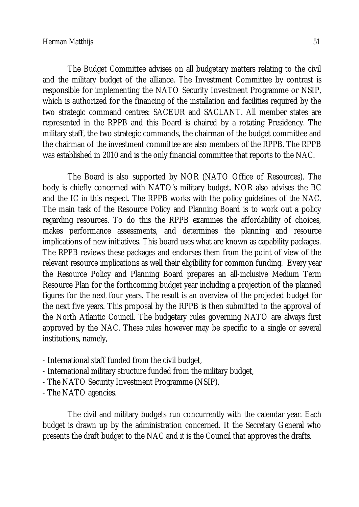The Budget Committee advises on all budgetary matters relating to the civil and the military budget of the alliance. The Investment Committee by contrast is responsible for implementing the NATO Security Investment Programme or NSIP, which is authorized for the financing of the installation and facilities required by the two strategic command centres: SACEUR and SACLANT. All member states are represented in the RPPB and this Board is chaired by a rotating Presidency. The military staff, the two strategic commands, the chairman of the budget committee and the chairman of the investment committee are also members of the RPPB. The RPPB was established in 2010 and is the only financial committee that reports to the NAC.

The Board is also supported by NOR (NATO Office of Resources). The body is chiefly concerned with NATO's military budget. NOR also advises the BC and the IC in this respect. The RPPB works with the policy guidelines of the NAC. The main task of the Resource Policy and Planning Board is to work out a policy regarding resources. To do this the RPPB examines the affordability of choices, makes performance assessments, and determines the planning and resource implications of new initiatives. This board uses what are known as capability packages. The RPPB reviews these packages and endorses them from the point of view of the relevant resource implications as well their eligibility for common funding. Every year the Resource Policy and Planning Board prepares an all-inclusive Medium Term Resource Plan for the forthcoming budget year including a projection of the planned figures for the next four years. The result is an overview of the projected budget for the next five years. This proposal by the RPPB is then submitted to the approval of the North Atlantic Council. The budgetary rules governing NATO are always first approved by the NAC. These rules however may be specific to a single or several institutions, namely,

- International staff funded from the civil budget,
- International military structure funded from the military budget,
- The NATO Security Investment Programme (NSIP),
- The NATO agencies.

The civil and military budgets run concurrently with the calendar year. Each budget is drawn up by the administration concerned. It the Secretary General who presents the draft budget to the NAC and it is the Council that approves the drafts.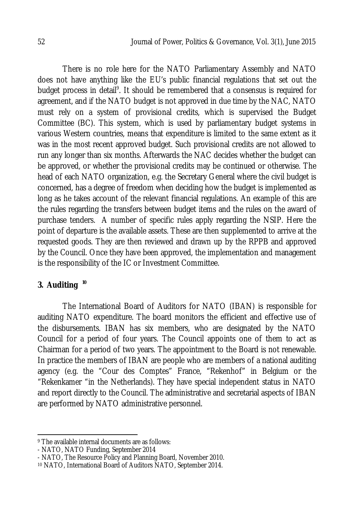There is no role here for the NATO Parliamentary Assembly and NATO does not have anything like the EU's public financial regulations that set out the budget process in detail<sup>9</sup>. It should be remembered that a consensus is required for agreement, and if the NATO budget is not approved in due time by the NAC, NATO must rely on a system of provisional credits, which is supervised the Budget Committee (BC). This system, which is used by parliamentary budget systems in various Western countries, means that expenditure is limited to the same extent as it was in the most recent approved budget. Such provisional credits are not allowed to run any longer than six months. Afterwards the NAC decides whether the budget can be approved, or whether the provisional credits may be continued or otherwise. The head of each NATO organization, e.g. the Secretary General where the civil budget is concerned, has a degree of freedom when deciding how the budget is implemented as long as he takes account of the relevant financial regulations. An example of this are the rules regarding the transfers between budget items and the rules on the award of purchase tenders. A number of specific rules apply regarding the NSIP. Here the point of departure is the available assets. These are then supplemented to arrive at the requested goods. They are then reviewed and drawn up by the RPPB and approved by the Council. Once they have been approved, the implementation and management is the responsibility of the IC or Investment Committee.

# **3. Auditing <sup>10</sup>**

The International Board of Auditors for NATO (IBAN) is responsible for auditing NATO expenditure. The board monitors the efficient and effective use of the disbursements. IBAN has six members, who are designated by the NATO Council for a period of four years. The Council appoints one of them to act as Chairman for a period of two years. The appointment to the Board is not renewable. In practice the members of IBAN are people who are members of a national auditing agency (e.g. the "Cour des Comptes" France, "Rekenhof" in Belgium or the "Rekenkamer "in the Netherlands). They have special independent status in NATO and report directly to the Council. The administrative and secretarial aspects of IBAN are performed by NATO administrative personnel.

 $\overline{\phantom{a}}$ <sup>9</sup> The available internal documents are as follows:

<sup>-</sup> NATO, NATO Funding, September 2014

<sup>-</sup> NATO, The Resource Policy and Planning Board, November 2010.

<sup>10</sup> NATO, International Board of Auditors NATO, September 2014.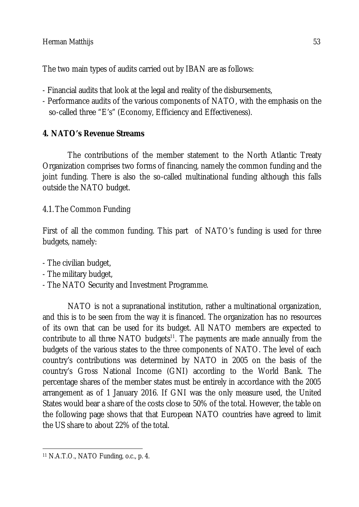The two main types of audits carried out by IBAN are as follows:

- Financial audits that look at the legal and reality of the disbursements,
- Performance audits of the various components of NATO, with the emphasis on the so-called three "E's" (Economy, Efficiency and Effectiveness).

# **4. NATO's Revenue Streams**

The contributions of the member statement to the North Atlantic Treaty Organization comprises two forms of financing, namely the common funding and the joint funding. There is also the so-called multinational funding although this falls outside the NATO budget.

4.1.The Common Funding

First of all the common funding. This part of NATO's funding is used for three budgets, namely:

- The civilian budget,
- The military budget,
- The NATO Security and Investment Programme.

NATO is not a supranational institution, rather a multinational organization, and this is to be seen from the way it is financed. The organization has no resources of its own that can be used for its budget. All NATO members are expected to contribute to all three NATO budgets<sup>11</sup>. The payments are made annually from the budgets of the various states to the three components of NATO. The level of each country's contributions was determined by NATO in 2005 on the basis of the country's Gross National Income (GNI) according to the World Bank. The percentage shares of the member states must be entirely in accordance with the 2005 arrangement as of 1 January 2016. If GNI was the only measure used, the United States would bear a share of the costs close to 50% of the total. However, the table on the following page shows that that European NATO countries have agreed to limit the US share to about 22% of the total.

 $\overline{a}$ <sup>11</sup> N.A.T.O., NATO Funding, o.c., p. 4.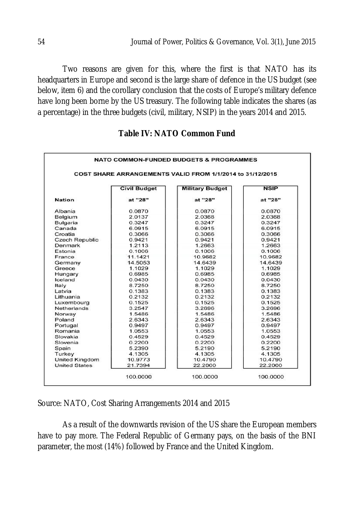Two reasons are given for this, where the first is that NATO has its headquarters in Europe and second is the large share of defence in the US budget (see below, item 6) and the corollary conclusion that the costs of Europe's military defence have long been borne by the US treasury. The following table indicates the shares (as a percentage) in the three budgets (civil, military, NSIP) in the years 2014 and 2015.

|                       |                     | COST SHARE ARRANGEMENTS VALID FROM 1/1/2014 to 31/12/2015 |             |
|-----------------------|---------------------|-----------------------------------------------------------|-------------|
|                       | <b>Civil Budget</b> | <b>Military Budget</b>                                    | <b>NSIP</b> |
| <b>Nation</b>         | at "28"             | at "28"                                                   | at "28"     |
| Albania               | 0.0870              | 0.0870                                                    | 0.0870      |
| Belgium               | 2.0137              | 2.0368                                                    | 2.0368      |
| Bulgaria              | 0.3247              | 0.3247                                                    | 0.3247      |
| Canada                | 6.0915              | 6.0915                                                    | 6.0915      |
| Croatia               | 0.3066              | 0.3066                                                    | 0.3066      |
| <b>Czech Republic</b> | 0.9421              | 0.9421                                                    | 0.9421      |
| Denmark               | 1.2113              | 1.2663                                                    | 1.2663      |
| Estonia               | 0.1006              | 0.1006                                                    | 0.1006      |
| France                | 11.1421             | 10.9682                                                   | 10.9682     |
| Germany               | 14.5053             | 14.6439                                                   | 14.6439     |
| Greece                | 1.1029              | 1.1029                                                    | 1.1029      |
| Hungary               | 0.6985              | 0.6985                                                    | 0.6985      |
| Iceland               | 0.0430              | 0.0430                                                    | 0.0430      |
| Italy                 | 8.7250              | 8.7250                                                    | 8.7250      |
| Latvia                | 0.1383              | 0.1383                                                    | 0.1383      |
| Lithuania             | 0.2132              | 0.2132                                                    | 0.2132      |
| Luxembourg            | 0.1525              | 0.1525                                                    | 0.1525      |
| <b>Netherlands</b>    | 3.2547              | 3.2696                                                    | 3.2696      |
| Norway                | 1.5486              | 1.5486                                                    | 1.5486      |
| Poland                | 2.6343              | 2.6343                                                    | 2.6343      |
| Portugal              | 0.9497              | 0.9497                                                    | 0.9497      |
| Romania               | 1.0553              | 1.0553                                                    | 1.0553      |
| Slovakia              | 0.4529              | 0.4529                                                    | 0.4529      |
| Slovenia              | 0.2200              | 0.2200                                                    | 0.2200      |
| Spain                 | 5.2390              | 5.2190                                                    | 5.2190      |
| Turkey                | 4.1305              | 4.1305                                                    | 4.1305      |
| <b>United Kingdom</b> | 10.9773             | 10.4790                                                   | 10.4790     |
| <b>United States</b>  | 21.7394             | 22.2000                                                   | 22.2000     |

## **Table IV: NATO Common Fund**

Source: NATO, Cost Sharing Arrangements 2014 and 2015

As a result of the downwards revision of the US share the European members have to pay more. The Federal Republic of Germany pays, on the basis of the BNI parameter, the most (14%) followed by France and the United Kingdom.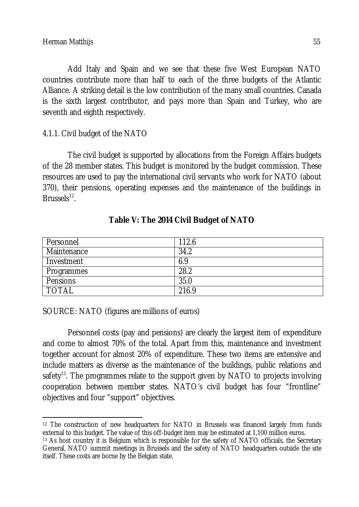Add Italy and Spain and we see that these five West European NATO countries contribute more than half to each of the three budgets of the Atlantic Alliance. A striking detail is the low contribution of the many small countries. Canada is the sixth largest contributor, and pays more than Spain and Turkey, who are seventh and eighth respectively.

### 4.1.1. Civil budget of the NATO

The civil budget is supported by allocations from the Foreign Affairs budgets of the 28 member states. This budget is monitored by the budget commission. These resources are used to pay the international civil servants who work for NATO (about 370), their pensions, operating expenses and the maintenance of the buildings in Brussels $^{12}$ .

| Personnel   | 112.6 |
|-------------|-------|
| Maintenance | 34.2  |
| Investment  | 6.9   |
| Programmes  | 28.2  |
| Pensions    | 35.0  |
| TOTAL       | 216.9 |

#### **Table V: The 2014 Civil Budget of NATO**

SOURCE: NATO (figures are millions of euros)

Personnel costs (pay and pensions) are clearly the largest item of expenditure and come to almost 70% of the total. Apart from this, maintenance and investment together account for almost 20% of expenditure. These two items are extensive and include matters as diverse as the maintenance of the buildings, public relations and safety<sup>13</sup>. The programmes relate to the support given by NATO to projects involving cooperation between member states. NATO's civil budget has four "frontline" objectives and four "support" objectives.

 $\overline{\phantom{a}}$ <sup>12</sup> The construction of new headquarters for NATO in Brussels was financed largely from funds external to this budget. The value of this off-budget item may be estimated at 1,100 million euros.

<sup>13</sup> As host country it is Belgium which is responsible for the safety of NATO officials, the Secretary General, NATO summit meetings in Brussels and the safety of NATO headquarters outside the site itself. These costs are borne by the Belgian state.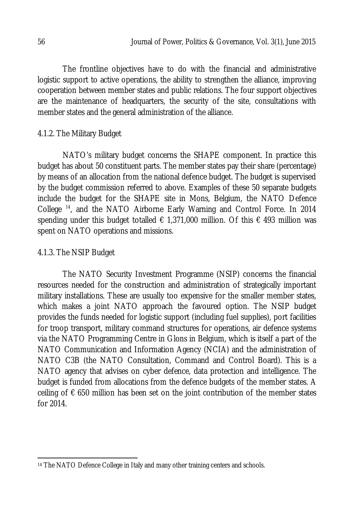The frontline objectives have to do with the financial and administrative logistic support to active operations, the ability to strengthen the alliance, improving cooperation between member states and public relations. The four support objectives are the maintenance of headquarters, the security of the site, consultations with member states and the general administration of the alliance.

# 4.1.2. The Military Budget

NATO's military budget concerns the SHAPE component. In practice this budget has about 50 constituent parts. The member states pay their share (percentage) by means of an allocation from the national defence budget. The budget is supervised by the budget commission referred to above. Examples of these 50 separate budgets include the budget for the SHAPE site in Mons, Belgium, the NATO Defence College <sup>14</sup>, and the NATO Airborne Early Warning and Control Force. In 2014 spending under this budget totalled  $\epsilon$  1,371,000 million. Of this  $\epsilon$  493 million was spent on NATO operations and missions.

## 4.1.3. The NSIP Budget

The NATO Security Investment Programme (NSIP) concerns the financial resources needed for the construction and administration of strategically important military installations. These are usually too expensive for the smaller member states, which makes a joint NATO approach the favoured option. The NSIP budget provides the funds needed for logistic support (including fuel supplies), port facilities for troop transport, military command structures for operations, air defence systems via the NATO Programming Centre in Glons in Belgium, which is itself a part of the NATO Communication and Information Agency (NCIA) and the administration of NATO C3B (the NATO Consultation, Command and Control Board). This is a NATO agency that advises on cyber defence, data protection and intelligence. The budget is funded from allocations from the defence budgets of the member states. A ceiling of  $\epsilon$  650 million has been set on the joint contribution of the member states for 2014.

 $\overline{a}$ <sup>14</sup> The NATO Defence College in Italy and many other training centers and schools.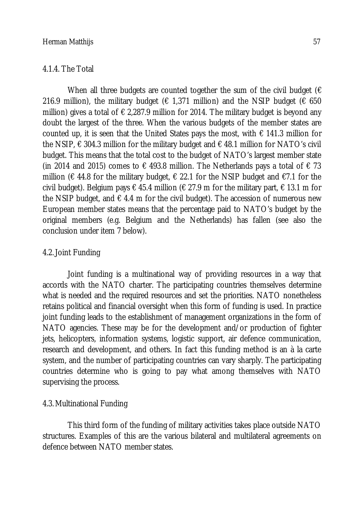#### 4.1.4. The Total

When all three budgets are counted together the sum of the civil budget ( $\epsilon$ 216.9 million), the military budget ( $\epsilon$  1,371 million) and the NSIP budget ( $\epsilon$  650 million) gives a total of  $\epsilon$  2,287.9 million for 2014. The military budget is beyond any doubt the largest of the three. When the various budgets of the member states are counted up, it is seen that the United States pays the most, with  $\epsilon$  141.3 million for the NSIP,  $\epsilon$  304.3 million for the military budget and  $\epsilon$  48.1 million for NATO's civil budget. This means that the total cost to the budget of NATO's largest member state (in 2014 and 2015) comes to  $\epsilon$  493.8 million. The Netherlands pays a total of  $\epsilon$  73 million (€ 44.8 for the military budget, € 22.1 for the NSIP budget and €7.1 for the civil budget). Belgium pays  $\epsilon$  45.4 million ( $\epsilon$  27.9 m for the military part,  $\epsilon$  13.1 m for the NSIP budget, and  $\epsilon$  4.4 m for the civil budget). The accession of numerous new European member states means that the percentage paid to NATO's budget by the original members (e.g. Belgium and the Netherlands) has fallen (see also the conclusion under item 7 below).

#### 4.2.Joint Funding

Joint funding is a multinational way of providing resources in a way that accords with the NATO charter. The participating countries themselves determine what is needed and the required resources and set the priorities. NATO nonetheless retains political and financial oversight when this form of funding is used. In practice joint funding leads to the establishment of management organizations in the form of NATO agencies. These may be for the development and/or production of fighter jets, helicopters, information systems, logistic support, air defence communication, research and development, and others. In fact this funding method is an à la carte system, and the number of participating countries can vary sharply. The participating countries determine who is going to pay what among themselves with NATO supervising the process.

#### 4.3. Multinational Funding

This third form of the funding of military activities takes place outside NATO structures. Examples of this are the various bilateral and multilateral agreements on defence between NATO member states.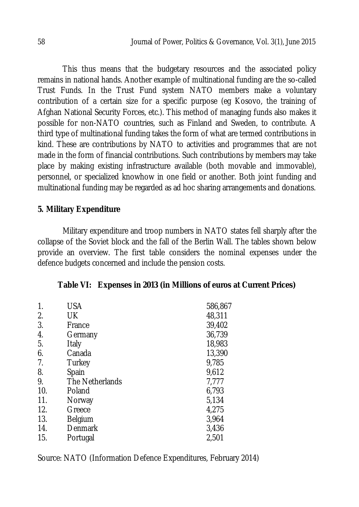This thus means that the budgetary resources and the associated policy remains in national hands. Another example of multinational funding are the so-called Trust Funds. In the Trust Fund system NATO members make a voluntary contribution of a certain size for a specific purpose (eg Kosovo, the training of Afghan National Security Forces, etc.). This method of managing funds also makes it possible for non-NATO countries, such as Finland and Sweden, to contribute. A third type of multinational funding takes the form of what are termed contributions in kind. These are contributions by NATO to activities and programmes that are not made in the form of financial contributions. Such contributions by members may take place by making existing infrastructure available (both movable and immovable), personnel, or specialized knowhow in one field or another. Both joint funding and multinational funding may be regarded as ad hoc sharing arrangements and donations.

#### **5. Military Expenditure**

Military expenditure and troop numbers in NATO states fell sharply after the collapse of the Soviet block and the fall of the Berlin Wall. The tables shown below provide an overview. The first table considers the nominal expenses under the defence budgets concerned and include the pension costs.

|  | Table VI: Expenses in 2013 (in Millions of euros at Current Prices) |  |  |  |  |  |
|--|---------------------------------------------------------------------|--|--|--|--|--|
|--|---------------------------------------------------------------------|--|--|--|--|--|

| $\mathbf{1}$ .<br>2. | <b>USA</b><br>UK | 586,867<br>48,311 |
|----------------------|------------------|-------------------|
| 3.                   | France           | 39,402            |
| 4.                   | Germany          | 36,739            |
| 5.                   | Italy            | 18,983            |
| 6.                   | Canada           | 13,390            |
| 7.                   | Turkey           | 9,785             |
| 8.                   | Spain            | 9,612             |
| 9.                   | The Netherlands  | 7,777             |
| 10.                  | Poland           | 6,793             |
| 11.                  | Norway           | 5,134             |
| 12.                  | Greece           | 4,275             |
| 13.                  | Belgium          | 3,964             |
| 14.                  | Denmark          | 3,436             |
| 15.                  | Portugal         | 2,501             |

Source: NATO (Information Defence Expenditures, February 2014)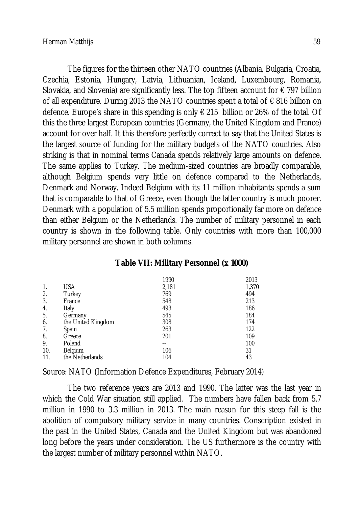The figures for the thirteen other NATO countries (Albania, Bulgaria, Croatia, Czechia, Estonia, Hungary, Latvia, Lithuanian, Iceland, Luxembourg, Romania, Slovakia, and Slovenia) are significantly less. The top fifteen account for  $\epsilon$  797 billion of all expenditure. During 2013 the NATO countries spent a total of  $\epsilon$  816 billion on defence. Europe's share in this spending is only € 215 billion or 26% of the total. Of this the three largest European countries (Germany, the United Kingdom and France) account for over half. It this therefore perfectly correct to say that the United States is the largest source of funding for the military budgets of the NATO countries. Also striking is that in nominal terms Canada spends relatively large amounts on defence. The same applies to Turkey. The medium-sized countries are broadly comparable, although Belgium spends very little on defence compared to the Netherlands, Denmark and Norway. Indeed Belgium with its 11 million inhabitants spends a sum that is comparable to that of Greece, even though the latter country is much poorer. Denmark with a population of 5.5 million spends proportionally far more on defence than either Belgium or the Netherlands. The number of military personnel in each country is shown in the following table. Only countries with more than 100,000 military personnel are shown in both columns.

| Table VII: Military Personnel (x 1000) |  |  |  |
|----------------------------------------|--|--|--|
|----------------------------------------|--|--|--|

|     |                    | 1990  | 2013  |
|-----|--------------------|-------|-------|
| 1.  | <b>USA</b>         | 2,181 | 1,370 |
| 2.  | Turkey             | 769   | 494   |
| 3.  | France             | 548   | 213   |
| 4.  | Italy              | 493   | 186   |
| 5.  | Germany            | 545   | 184   |
| 6.  | the United Kingdom | 308   | 174   |
| 7.  | Spain              | 263   | 122   |
| 8.  | Greece             | 201   | 109   |
| 9.  | Poland             | --    | 100   |
| 10. | Belgium            | 106   | 31    |
| 11. | the Netherlands    | 104   | 43    |

Source: NATO (Information Defence Expenditures, February 2014)

The two reference years are 2013 and 1990. The latter was the last year in which the Cold War situation still applied. The numbers have fallen back from 5.7 million in 1990 to 3.3 million in 2013. The main reason for this steep fall is the abolition of compulsory military service in many countries. Conscription existed in the past in the United States, Canada and the United Kingdom but was abandoned long before the years under consideration. The US furthermore is the country with the largest number of military personnel within NATO.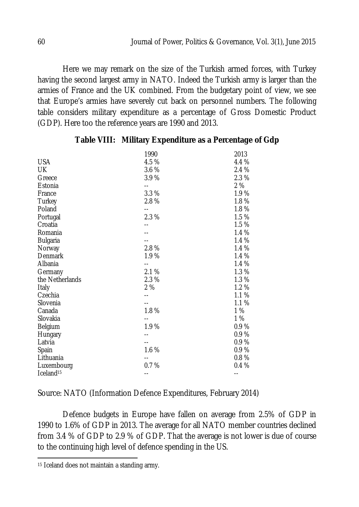Here we may remark on the size of the Turkish armed forces, with Turkey having the second largest army in NATO. Indeed the Turkish army is larger than the armies of France and the UK combined. From the budgetary point of view, we see that Europe's armies have severely cut back on personnel numbers. The following table considers military expenditure as a percentage of Gross Domestic Product (GDP). Here too the reference years are 1990 and 2013.

|                          | 1990  | 2013  |
|--------------------------|-------|-------|
| <b>USA</b>               | 4.5 % | 4.4 % |
| UK                       | 3.6 % | 2.4 % |
| Greece                   | 3.9%  | 2.3 % |
| Estonia                  | $-$   | 2 %   |
| France                   | 3.3 % | 1.9%  |
| Turkey                   | 2.8%  | 1.8%  |
| Poland                   | $-$   | 1.8%  |
| Portugal                 | 2.3%  | 1.5%  |
| Croatia                  |       | 1.5%  |
| Romania                  |       | 1.4 % |
| <b>Bulgaria</b>          |       | 1.4 % |
| Norway                   | 2.8%  | 1.4 % |
| Denmark                  | 1.9%  | 1.4 % |
| Albania                  | --    | 1.4 % |
| Germany                  | 2.1%  | 1.3%  |
| the Netherlands          | 2.3%  | 1.3%  |
| Italy                    | 2%    | 1.2%  |
| Czechia                  |       | 1.1%  |
| Slovenia                 |       | 1.1 % |
| Canada                   | 1.8%  | 1%    |
| Slovakia                 | --    | 1 %   |
| Belgium                  | 1.9%  | 0.9%  |
| Hungary                  |       | 0.9%  |
| Latvia                   |       | 0.9%  |
| Spain                    | 1.6 % | 0.9%  |
| Lithuania                |       | 0.8%  |
| Luxembourg               | 0.7%  | 0.4%  |
| $I$ celand <sup>15</sup> | $ -$  | --    |

#### **Table VIII: Military Expenditure as a Percentage of Gdp**

Source: NATO (Information Defence Expenditures, February 2014)

Defence budgets in Europe have fallen on average from 2.5% of GDP in 1990 to 1.6% of GDP in 2013. The average for all NATO member countries declined from 3.4 % of GDP to 2.9 % of GDP. That the average is not lower is due of course to the continuing high level of defence spending in the US.

 $\overline{a}$ <sup>15</sup> Iceland does not maintain a standing army.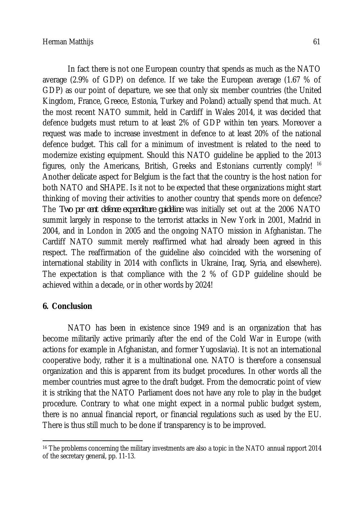In fact there is not one European country that spends as much as the NATO average (2.9% of GDP) on defence. If we take the European average (1.67 % of GDP) as our point of departure, we see that only six member countries (the United Kingdom, France, Greece, Estonia, Turkey and Poland) actually spend that much. At the most recent NATO summit, held in Cardiff in Wales 2014, it was decided that defence budgets must return to at least 2% of GDP within ten years. Moreover a request was made to increase investment in defence to at least 20% of the national defence budget. This call for a minimum of investment is related to the need to modernize existing equipment. Should this NATO guideline be applied to the 2013 figures, only the Americans, British, Greeks and Estonians currently comply! <sup>16</sup> Another delicate aspect for Belgium is the fact that the country is the host nation for both NATO and SHAPE. Is it not to be expected that these organizations might start thinking of moving their activities to another country that spends more on defence? The *Two per cent defence expenditure guideline* was initially set out at the 2006 NATO summit largely in response to the terrorist attacks in New York in 2001, Madrid in 2004, and in London in 2005 and the ongoing NATO mission in Afghanistan. The Cardiff NATO summit merely reaffirmed what had already been agreed in this respect. The reaffirmation of the guideline also coincided with the worsening of international stability in 2014 with conflicts in Ukraine, Iraq, Syria, and elsewhere). The expectation is that compliance with the 2 % of GDP guideline should be achieved within a decade, or in other words by 2024!

### **6. Conclusion**

NATO has been in existence since 1949 and is an organization that has become militarily active primarily after the end of the Cold War in Europe (with actions for example in Afghanistan, and former Yugoslavia). It is not an international cooperative body, rather it is a multinational one. NATO is therefore a consensual organization and this is apparent from its budget procedures. In other words all the member countries must agree to the draft budget. From the democratic point of view it is striking that the NATO Parliament does not have any role to play in the budget procedure. Contrary to what one might expect in a normal public budget system, there is no annual financial report, or financial regulations such as used by the EU. There is thus still much to be done if transparency is to be improved.

 $\overline{a}$ <sup>16</sup> The problems concerning the military investments are also a topic in the NATO annual rapport 2014 of the secretary general, pp. 11-13.